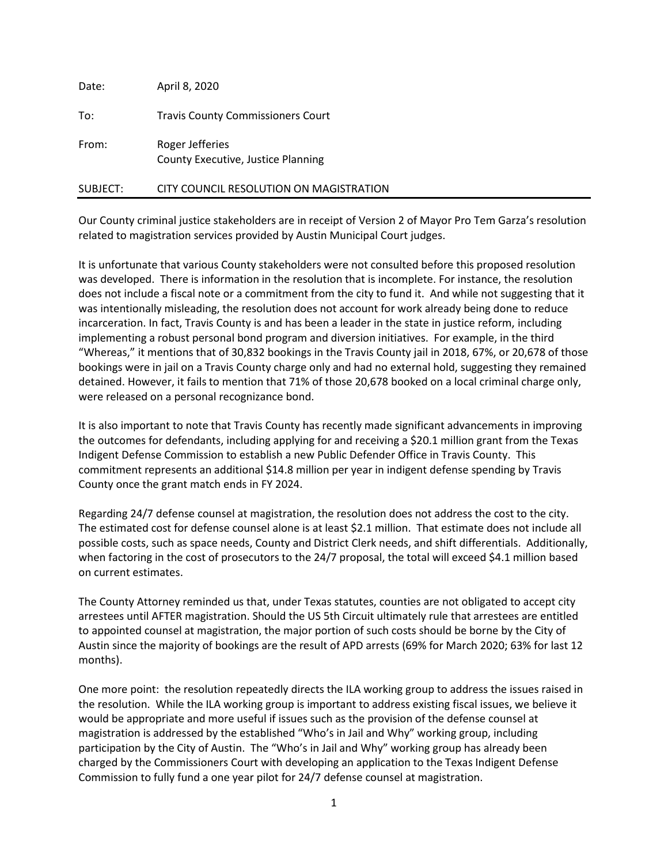| Date:    | April 8, 2020                                         |
|----------|-------------------------------------------------------|
| To:      | <b>Travis County Commissioners Court</b>              |
| From:    | Roger Jefferies<br>County Executive, Justice Planning |
| SUBJECT: | CITY COUNCIL RESOLUTION ON MAGISTRATION               |

Our County criminal justice stakeholders are in receipt of Version 2 of Mayor Pro Tem Garza's resolution related to magistration services provided by Austin Municipal Court judges.

It is unfortunate that various County stakeholders were not consulted before this proposed resolution was developed. There is information in the resolution that is incomplete. For instance, the resolution does not include a fiscal note or a commitment from the city to fund it. And while not suggesting that it was intentionally misleading, the resolution does not account for work already being done to reduce incarceration. In fact, Travis County is and has been a leader in the state in justice reform, including implementing a robust personal bond program and diversion initiatives. For example, in the third "Whereas," it mentions that of 30,832 bookings in the Travis County jail in 2018, 67%, or 20,678 of those bookings were in jail on a Travis County charge only and had no external hold, suggesting they remained detained. However, it fails to mention that 71% of those 20,678 booked on a local criminal charge only, were released on a personal recognizance bond.

It is also important to note that Travis County has recently made significant advancements in improving the outcomes for defendants, including applying for and receiving a \$20.1 million grant from the Texas Indigent Defense Commission to establish a new Public Defender Office in Travis County. This commitment represents an additional \$14.8 million per year in indigent defense spending by Travis County once the grant match ends in FY 2024.

Regarding 24/7 defense counsel at magistration, the resolution does not address the cost to the city. The estimated cost for defense counsel alone is at least \$2.1 million. That estimate does not include all possible costs, such as space needs, County and District Clerk needs, and shift differentials. Additionally, when factoring in the cost of prosecutors to the 24/7 proposal, the total will exceed \$4.1 million based on current estimates.

The County Attorney reminded us that, under Texas statutes, counties are not obligated to accept city arrestees until AFTER magistration. Should the US 5th Circuit ultimately rule that arrestees are entitled to appointed counsel at magistration, the major portion of such costs should be borne by the City of Austin since the majority of bookings are the result of APD arrests (69% for March 2020; 63% for last 12 months).

One more point: the resolution repeatedly directs the ILA working group to address the issues raised in the resolution. While the ILA working group is important to address existing fiscal issues, we believe it would be appropriate and more useful if issues such as the provision of the defense counsel at magistration is addressed by the established "Who's in Jail and Why" working group, including participation by the City of Austin. The "Who's in Jail and Why" working group has already been charged by the Commissioners Court with developing an application to the Texas Indigent Defense Commission to fully fund a one year pilot for 24/7 defense counsel at magistration.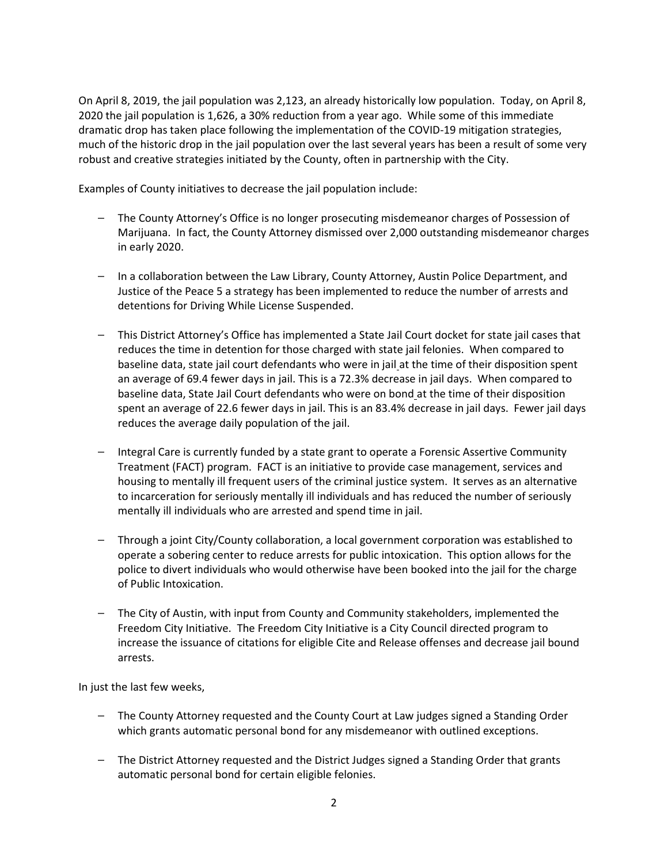On April 8, 2019, the jail population was 2,123, an already historically low population. Today, on April 8, 2020 the jail population is 1,626, a 30% reduction from a year ago. While some of this immediate dramatic drop has taken place following the implementation of the COVID-19 mitigation strategies, much of the historic drop in the jail population over the last several years has been a result of some very robust and creative strategies initiated by the County, often in partnership with the City.

Examples of County initiatives to decrease the jail population include:

- ⎯ The County Attorney's Office is no longer prosecuting misdemeanor charges of Possession of Marijuana. In fact, the County Attorney dismissed over 2,000 outstanding misdemeanor charges in early 2020.
- In a collaboration between the Law Library, County Attorney, Austin Police Department, and Justice of the Peace 5 a strategy has been implemented to reduce the number of arrests and detentions for Driving While License Suspended.
- This District Attorney's Office has implemented a State Jail Court docket for state jail cases that reduces the time in detention for those charged with state jail felonies. When compared to baseline data, state jail court defendants who were in jail at the time of their disposition spent an average of 69.4 fewer days in jail. This is a 72.3% decrease in jail days. When compared to baseline data, State Jail Court defendants who were on bond at the time of their disposition spent an average of 22.6 fewer days in jail. This is an 83.4% decrease in jail days. Fewer jail days reduces the average daily population of the jail.
- $-$  Integral Care is currently funded by a state grant to operate a Forensic Assertive Community Treatment (FACT) program. FACT is an initiative to provide case management, services and housing to mentally ill frequent users of the criminal justice system. It serves as an alternative to incarceration for seriously mentally ill individuals and has reduced the number of seriously mentally ill individuals who are arrested and spend time in jail.
- ⎯ Through a joint City/County collaboration, a local government corporation was established to operate a sobering center to reduce arrests for public intoxication. This option allows for the police to divert individuals who would otherwise have been booked into the jail for the charge of Public Intoxication.
- ⎯ The City of Austin, with input from County and Community stakeholders, implemented the Freedom City Initiative. The Freedom City Initiative is a City Council directed program to increase the issuance of citations for eligible Cite and Release offenses and decrease jail bound arrests.

In just the last few weeks,

- $-$  The County Attorney requested and the County Court at Law judges signed a Standing Order which grants automatic personal bond for any misdemeanor with outlined exceptions.
- The District Attorney requested and the District Judges signed a Standing Order that grants automatic personal bond for certain eligible felonies.